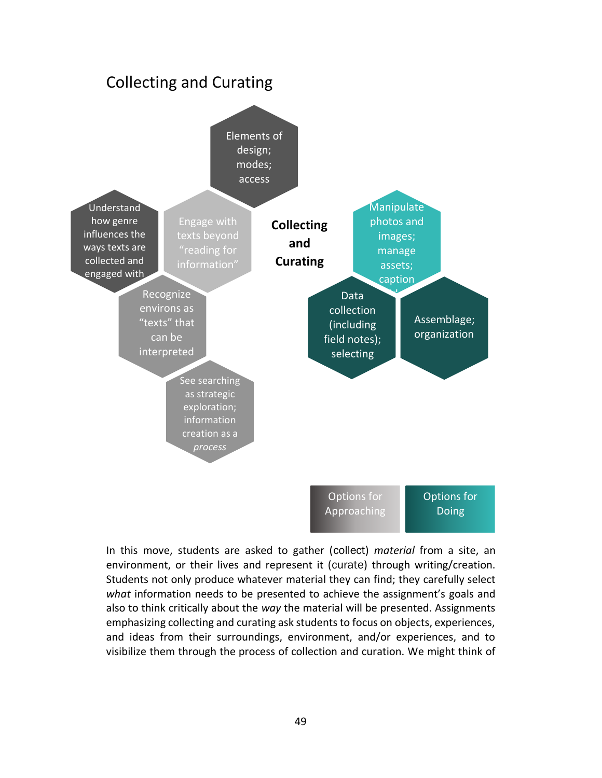

In this move, students are asked to gather (collect) *material* from a site, an environment, or their lives and represent it (curate) through writing/creation. Students not only produce whatever material they can find; they carefully select *what* information needs to be presented to achieve the assignment's goals and also to think critically about the *way* the material will be presented. Assignments emphasizing collecting and curating ask students to focus on objects, experiences, and ideas from their surroundings, environment, and/or experiences, and to visibilize them through the process of collection and curation. We might think of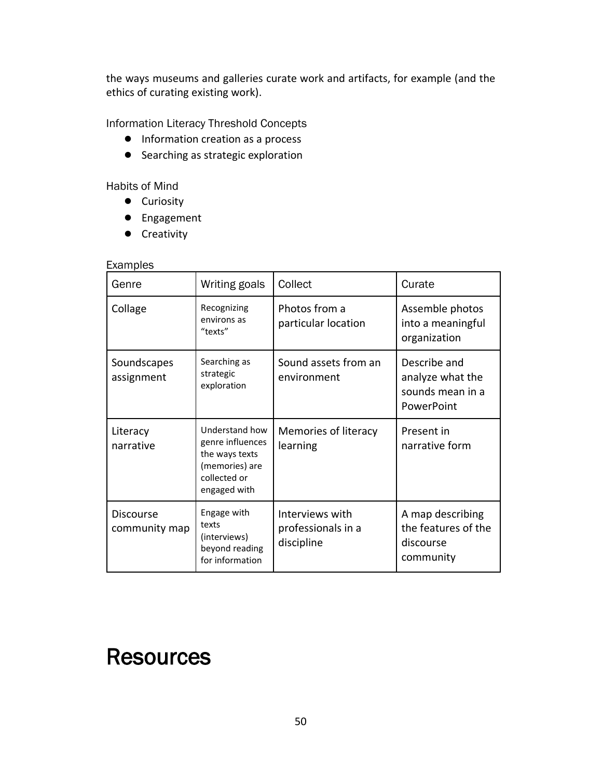the ways museums and galleries curate work and artifacts, for example (and the ethics of curating existing work).

Information Literacy Threshold Concepts

- Information creation as a process
- Searching as strategic exploration

Habits of Mind

- Curiosity
- Engagement
- Creativity

## Examples

| Genre                             | Writing goals                                                                                          | Collect                                             | Curate                                                             |
|-----------------------------------|--------------------------------------------------------------------------------------------------------|-----------------------------------------------------|--------------------------------------------------------------------|
| Collage                           | Recognizing<br>environs as<br>"texts"                                                                  | Photos from a<br>particular location                | Assemble photos<br>into a meaningful<br>organization               |
| Soundscapes<br>assignment         | Searching as<br>strategic<br>exploration                                                               | Sound assets from an<br>environment                 | Describe and<br>analyze what the<br>sounds mean in a<br>PowerPoint |
| Literacy<br>narrative             | Understand how<br>genre influences<br>the ways texts<br>(memories) are<br>collected or<br>engaged with | Memories of literacy<br>learning                    | Present in<br>narrative form                                       |
| <b>Discourse</b><br>community map | Engage with<br>texts<br>(interviews)<br>beyond reading<br>for information                              | Interviews with<br>professionals in a<br>discipline | A map describing<br>the features of the<br>discourse<br>community  |

## **Resources**